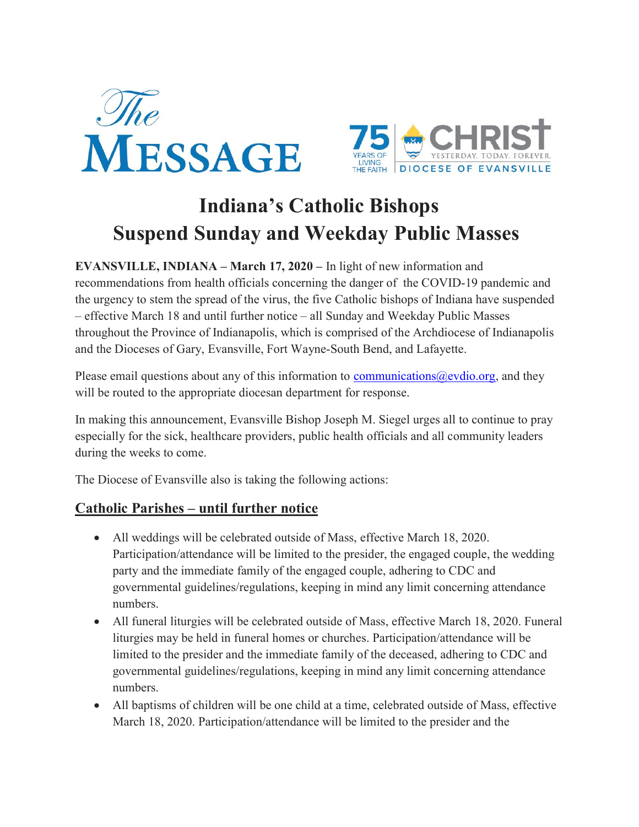



# Indiana's Catholic Bishops Suspend Sunday and Weekday Public Masses

EVANSVILLE, INDIANA – March 17, 2020 – In light of new information and recommendations from health officials concerning the danger of the COVID-19 pandemic and the urgency to stem the spread of the virus, the five Catholic bishops of Indiana have suspended – effective March 18 and until further notice – all Sunday and Weekday Public Masses throughout the Province of Indianapolis, which is comprised of the Archdiocese of Indianapolis and the Dioceses of Gary, Evansville, Fort Wayne-South Bend, and Lafayette.

Please email questions about any of this information to communications  $@$  evdio.org, and they will be routed to the appropriate diocesan department for response.

In making this announcement, Evansville Bishop Joseph M. Siegel urges all to continue to pray especially for the sick, healthcare providers, public health officials and all community leaders during the weeks to come.

The Diocese of Evansville also is taking the following actions:

## Catholic Parishes – until further notice

- All weddings will be celebrated outside of Mass, effective March 18, 2020. Participation/attendance will be limited to the presider, the engaged couple, the wedding party and the immediate family of the engaged couple, adhering to CDC and governmental guidelines/regulations, keeping in mind any limit concerning attendance numbers.
- All funeral liturgies will be celebrated outside of Mass, effective March 18, 2020. Funeral liturgies may be held in funeral homes or churches. Participation/attendance will be limited to the presider and the immediate family of the deceased, adhering to CDC and governmental guidelines/regulations, keeping in mind any limit concerning attendance numbers.
- All baptisms of children will be one child at a time, celebrated outside of Mass, effective March 18, 2020. Participation/attendance will be limited to the presider and the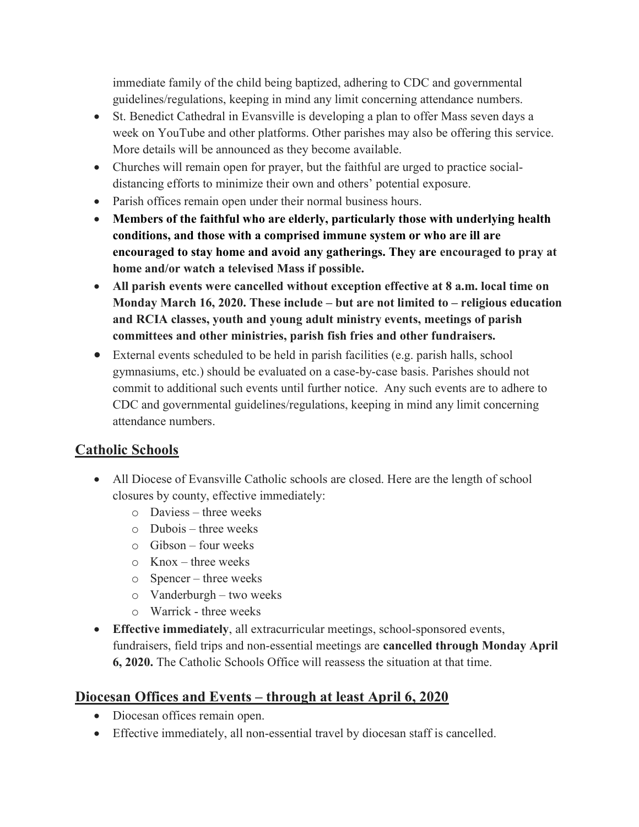immediate family of the child being baptized, adhering to CDC and governmental guidelines/regulations, keeping in mind any limit concerning attendance numbers.

- St. Benedict Cathedral in Evansville is developing a plan to offer Mass seven days a week on YouTube and other platforms. Other parishes may also be offering this service. More details will be announced as they become available.
- Churches will remain open for prayer, but the faithful are urged to practice socialdistancing efforts to minimize their own and others' potential exposure.
- Parish offices remain open under their normal business hours.
- Members of the faithful who are elderly, particularly those with underlying health conditions, and those with a comprised immune system or who are ill are encouraged to stay home and avoid any gatherings. They are encouraged to pray at home and/or watch a televised Mass if possible.
- All parish events were cancelled without exception effective at 8 a.m. local time on Monday March 16, 2020. These include – but are not limited to – religious education and RCIA classes, youth and young adult ministry events, meetings of parish committees and other ministries, parish fish fries and other fundraisers.
- External events scheduled to be held in parish facilities (e.g. parish halls, school gymnasiums, etc.) should be evaluated on a case-by-case basis. Parishes should not commit to additional such events until further notice. Any such events are to adhere to CDC and governmental guidelines/regulations, keeping in mind any limit concerning attendance numbers.

# Catholic Schools

- All Diocese of Evansville Catholic schools are closed. Here are the length of school closures by county, effective immediately:
	- o Daviess three weeks
	- o Dubois three weeks
	- o Gibson four weeks
	- o Knox three weeks
	- o Spencer three weeks
	- o Vanderburgh two weeks
	- o Warrick three weeks
- Effective immediately, all extracurricular meetings, school-sponsored events, fundraisers, field trips and non-essential meetings are cancelled through Monday April 6, 2020. The Catholic Schools Office will reassess the situation at that time.

## Diocesan Offices and Events – through at least April 6, 2020

- Diocesan offices remain open.
- Effective immediately, all non-essential travel by diocesan staff is cancelled.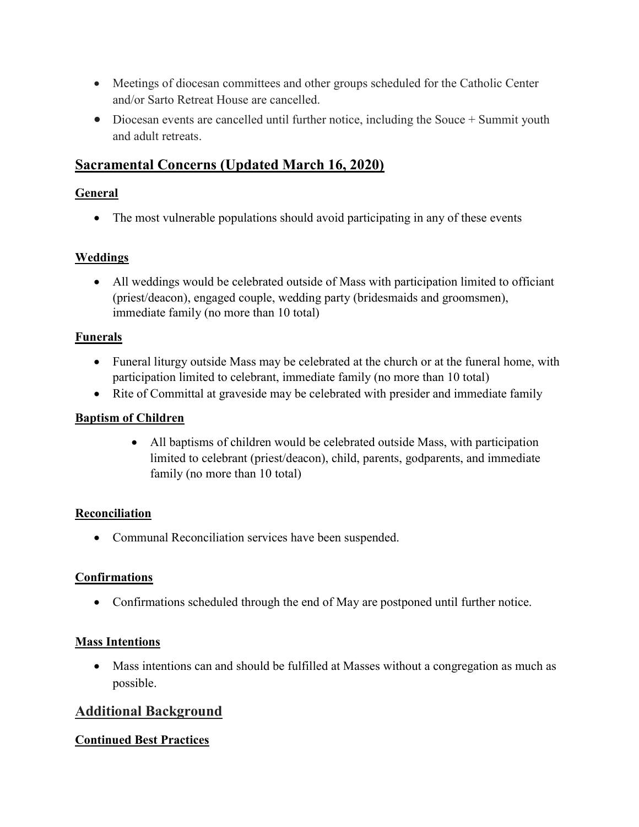- Meetings of diocesan committees and other groups scheduled for the Catholic Center and/or Sarto Retreat House are cancelled.
- Diocesan events are cancelled until further notice, including the Souce + Summit youth and adult retreats.

# Sacramental Concerns (Updated March 16, 2020)

#### General

• The most vulnerable populations should avoid participating in any of these events

## Weddings

 All weddings would be celebrated outside of Mass with participation limited to officiant (priest/deacon), engaged couple, wedding party (bridesmaids and groomsmen), immediate family (no more than 10 total)

#### Funerals

- Funeral liturgy outside Mass may be celebrated at the church or at the funeral home, with participation limited to celebrant, immediate family (no more than 10 total)
- Rite of Committal at graveside may be celebrated with presider and immediate family

#### Baptism of Children

 All baptisms of children would be celebrated outside Mass, with participation limited to celebrant (priest/deacon), child, parents, godparents, and immediate family (no more than 10 total)

#### Reconciliation

• Communal Reconciliation services have been suspended.

#### **Confirmations**

Confirmations scheduled through the end of May are postponed until further notice.

## Mass Intentions

 Mass intentions can and should be fulfilled at Masses without a congregation as much as possible.

# Additional Background

## Continued Best Practices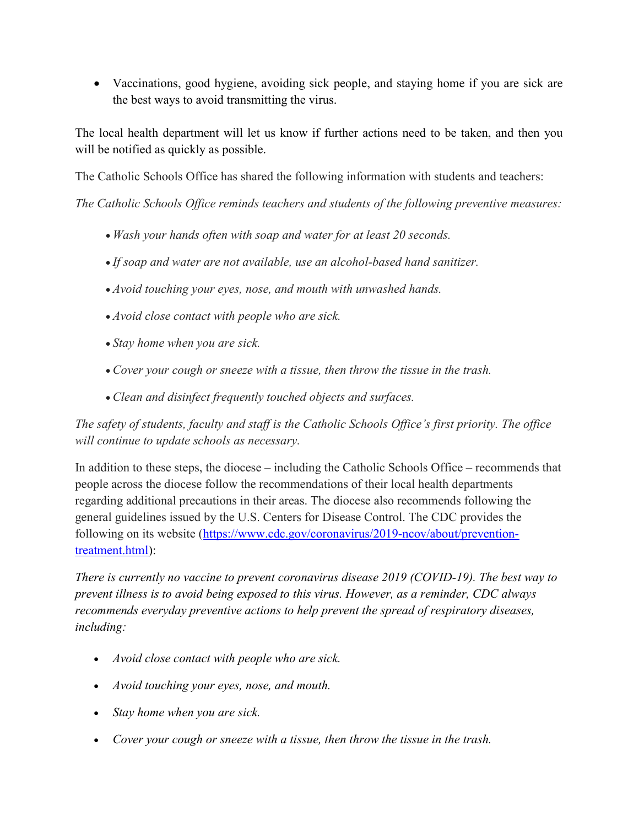Vaccinations, good hygiene, avoiding sick people, and staying home if you are sick are the best ways to avoid transmitting the virus.

The local health department will let us know if further actions need to be taken, and then you will be notified as quickly as possible.

The Catholic Schools Office has shared the following information with students and teachers:

The Catholic Schools Office reminds teachers and students of the following preventive measures:

- Wash your hands often with soap and water for at least 20 seconds.
- If soap and water are not available, use an alcohol-based hand sanitizer.
- Avoid touching your eyes, nose, and mouth with unwashed hands.
- Avoid close contact with people who are sick.
- Stay home when you are sick.
- Cover your cough or sneeze with a tissue, then throw the tissue in the trash.
- Clean and disinfect frequently touched objects and surfaces.

The safety of students, faculty and staff is the Catholic Schools Office's first priority. The office will continue to update schools as necessary.

In addition to these steps, the diocese – including the Catholic Schools Office – recommends that people across the diocese follow the recommendations of their local health departments regarding additional precautions in their areas. The diocese also recommends following the general guidelines issued by the U.S. Centers for Disease Control. The CDC provides the following on its website (https://www.cdc.gov/coronavirus/2019-ncov/about/preventiontreatment.html):

There is currently no vaccine to prevent coronavirus disease 2019 (COVID-19). The best way to prevent illness is to avoid being exposed to this virus. However, as a reminder, CDC always recommends everyday preventive actions to help prevent the spread of respiratory diseases, including:

- Avoid close contact with people who are sick.
- Avoid touching your eyes, nose, and mouth.
- Stay home when you are sick.
- Cover your cough or sneeze with a tissue, then throw the tissue in the trash.